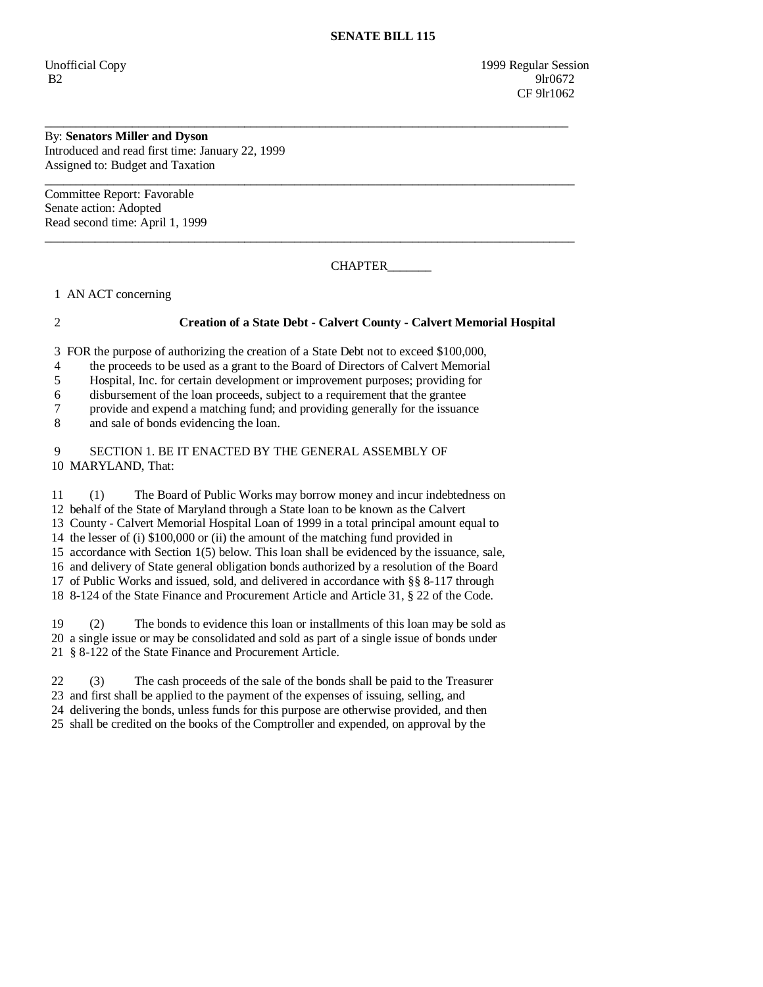Unofficial Copy 1999 Regular Session B2 9lr0672 **CF** 9lr1062

## By: **Senators Miller and Dyson**

Introduced and read first time: January 22, 1999 Assigned to: Budget and Taxation

Committee Report: Favorable Senate action: Adopted Read second time: April 1, 1999

CHAPTER\_\_\_\_\_\_\_

1 AN ACT concerning

## 2 **Creation of a State Debt - Calvert County - Calvert Memorial Hospital**

3 FOR the purpose of authorizing the creation of a State Debt not to exceed \$100,000,

\_\_\_\_\_\_\_\_\_\_\_\_\_\_\_\_\_\_\_\_\_\_\_\_\_\_\_\_\_\_\_\_\_\_\_\_\_\_\_\_\_\_\_\_\_\_\_\_\_\_\_\_\_\_\_\_\_\_\_\_\_\_\_\_\_\_\_\_\_\_\_\_\_\_\_\_\_\_\_\_\_\_\_\_

\_\_\_\_\_\_\_\_\_\_\_\_\_\_\_\_\_\_\_\_\_\_\_\_\_\_\_\_\_\_\_\_\_\_\_\_\_\_\_\_\_\_\_\_\_\_\_\_\_\_\_\_\_\_\_\_\_\_\_\_\_\_\_\_\_\_\_\_\_\_\_\_\_\_\_\_\_\_\_\_\_\_\_\_\_

\_\_\_\_\_\_\_\_\_\_\_\_\_\_\_\_\_\_\_\_\_\_\_\_\_\_\_\_\_\_\_\_\_\_\_\_\_\_\_\_\_\_\_\_\_\_\_\_\_\_\_\_\_\_\_\_\_\_\_\_\_\_\_\_\_\_\_\_\_\_\_\_\_\_\_\_\_\_\_\_\_\_\_\_\_

4 the proceeds to be used as a grant to the Board of Directors of Calvert Memorial

5 Hospital, Inc. for certain development or improvement purposes; providing for

6 disbursement of the loan proceeds, subject to a requirement that the grantee

7 provide and expend a matching fund; and providing generally for the issuance

8 and sale of bonds evidencing the loan.

 9 SECTION 1. BE IT ENACTED BY THE GENERAL ASSEMBLY OF 10 MARYLAND, That:

 11 (1) The Board of Public Works may borrow money and incur indebtedness on 12 behalf of the State of Maryland through a State loan to be known as the Calvert 13 County - Calvert Memorial Hospital Loan of 1999 in a total principal amount equal to 14 the lesser of (i) \$100,000 or (ii) the amount of the matching fund provided in 15 accordance with Section 1(5) below. This loan shall be evidenced by the issuance, sale, 16 and delivery of State general obligation bonds authorized by a resolution of the Board 17 of Public Works and issued, sold, and delivered in accordance with §§ 8-117 through 18 8-124 of the State Finance and Procurement Article and Article 31, § 22 of the Code.

 19 (2) The bonds to evidence this loan or installments of this loan may be sold as 20 a single issue or may be consolidated and sold as part of a single issue of bonds under 21 § 8-122 of the State Finance and Procurement Article.

 22 (3) The cash proceeds of the sale of the bonds shall be paid to the Treasurer 23 and first shall be applied to the payment of the expenses of issuing, selling, and

24 delivering the bonds, unless funds for this purpose are otherwise provided, and then

25 shall be credited on the books of the Comptroller and expended, on approval by the